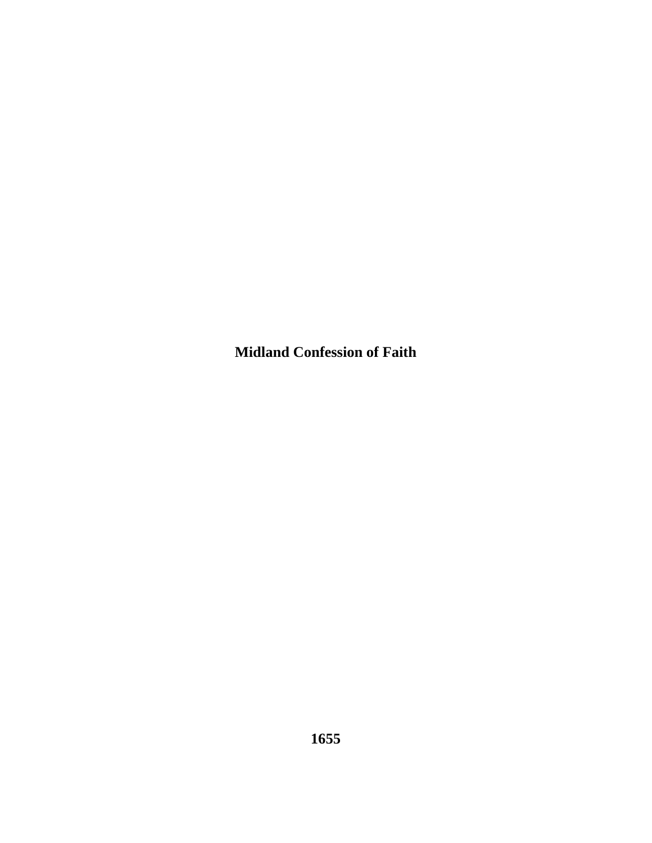**Midland Confession of Faith**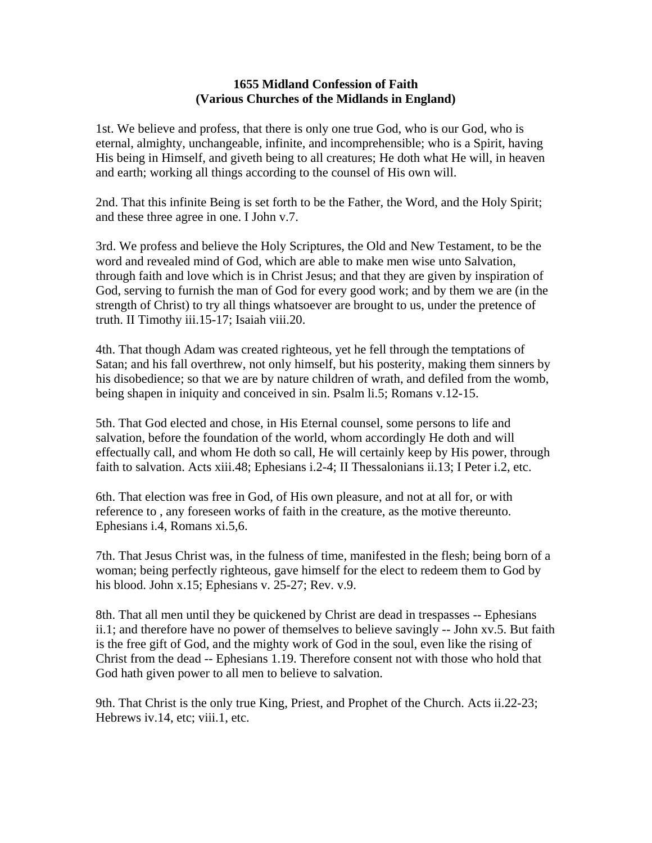## **1655 Midland Confession of Faith (Various Churches of the Midlands in England)**

1st. We believe and profess, that there is only one true God, who is our God, who is eternal, almighty, unchangeable, infinite, and incomprehensible; who is a Spirit, having His being in Himself, and giveth being to all creatures; He doth what He will, in heaven and earth; working all things according to the counsel of His own will.

2nd. That this infinite Being is set forth to be the Father, the Word, and the Holy Spirit; and these three agree in one. I John v.7.

3rd. We profess and believe the Holy Scriptures, the Old and New Testament, to be the word and revealed mind of God, which are able to make men wise unto Salvation, through faith and love which is in Christ Jesus; and that they are given by inspiration of God, serving to furnish the man of God for every good work; and by them we are (in the strength of Christ) to try all things whatsoever are brought to us, under the pretence of truth. II Timothy iii.15-17; Isaiah viii.20.

4th. That though Adam was created righteous, yet he fell through the temptations of Satan; and his fall overthrew, not only himself, but his posterity, making them sinners by his disobedience; so that we are by nature children of wrath, and defiled from the womb, being shapen in iniquity and conceived in sin. Psalm li.5; Romans v.12-15.

5th. That God elected and chose, in His Eternal counsel, some persons to life and salvation, before the foundation of the world, whom accordingly He doth and will effectually call, and whom He doth so call, He will certainly keep by His power, through faith to salvation. Acts xiii.48; Ephesians i.2-4; II Thessalonians ii.13; I Peter i.2, etc.

6th. That election was free in God, of His own pleasure, and not at all for, or with reference to , any foreseen works of faith in the creature, as the motive thereunto. Ephesians i.4, Romans xi.5,6.

7th. That Jesus Christ was, in the fulness of time, manifested in the flesh; being born of a woman; being perfectly righteous, gave himself for the elect to redeem them to God by his blood. John x.15; Ephesians v. 25-27; Rev. v.9.

8th. That all men until they be quickened by Christ are dead in trespasses -- Ephesians ii.1; and therefore have no power of themselves to believe savingly -- John xv.5. But faith is the free gift of God, and the mighty work of God in the soul, even like the rising of Christ from the dead -- Ephesians 1.19. Therefore consent not with those who hold that God hath given power to all men to believe to salvation.

9th. That Christ is the only true King, Priest, and Prophet of the Church. Acts ii.22-23; Hebrews iv.14, etc; viii.1, etc.